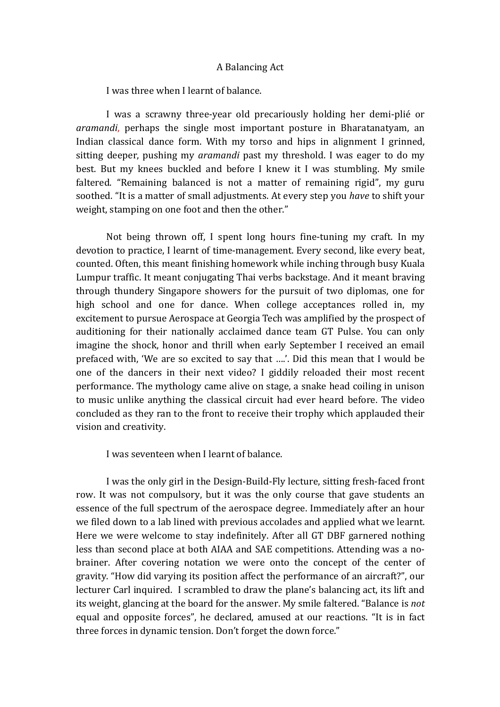## A Balancing Act

I was three when I learnt of balance.

I was a scrawny three-year old precariously holding her demi-plié or *aramandi*, perhaps the single most important posture in Bharatanatyam, an Indian classical dance form. With my torso and hips in alignment I grinned, sitting deeper, pushing my *aramandi* past my threshold. I was eager to do my best. But my knees buckled and before I knew it I was stumbling. My smile faltered. "Remaining balanced is not a matter of remaining rigid", my guru soothed. "It is a matter of small adjustments. At every step you *have* to shift your weight, stamping on one foot and then the other."

Not being thrown off, I spent long hours fine-tuning my craft. In my devotion to practice, I learnt of time-management. Every second, like every beat, counted. Often, this meant finishing homework while inching through busy Kuala Lumpur traffic. It meant conjugating Thai verbs backstage. And it meant braving through thundery Singapore showers for the pursuit of two diplomas, one for high school and one for dance. When college acceptances rolled in, my excitement to pursue Aerospace at Georgia Tech was amplified by the prospect of auditioning for their nationally acclaimed dance team GT Pulse. You can only imagine the shock, honor and thrill when early September I received an email prefaced with, 'We are so excited to say that ....'. Did this mean that I would be one of the dancers in their next video? I giddily reloaded their most recent performance. The mythology came alive on stage, a snake head coiling in unison to music unlike anything the classical circuit had ever heard before. The video concluded as they ran to the front to receive their trophy which applauded their vision and creativity.

I was seventeen when I learnt of balance.

I was the only girl in the Design-Build-Fly lecture, sitting fresh-faced front row. It was not compulsory, but it was the only course that gave students an essence of the full spectrum of the aerospace degree. Immediately after an hour we filed down to a lab lined with previous accolades and applied what we learnt. Here we were welcome to stay indefinitely. After all GT DBF garnered nothing less than second place at both AIAA and SAE competitions. Attending was a nobrainer. After covering notation we were onto the concept of the center of gravity. "How did varying its position affect the performance of an aircraft?", our lecturer Carl inquired. I scrambled to draw the plane's balancing act, its lift and its weight, glancing at the board for the answer. My smile faltered. "Balance is *not* equal and opposite forces", he declared, amused at our reactions. "It is in fact three forces in dynamic tension. Don't forget the down force."